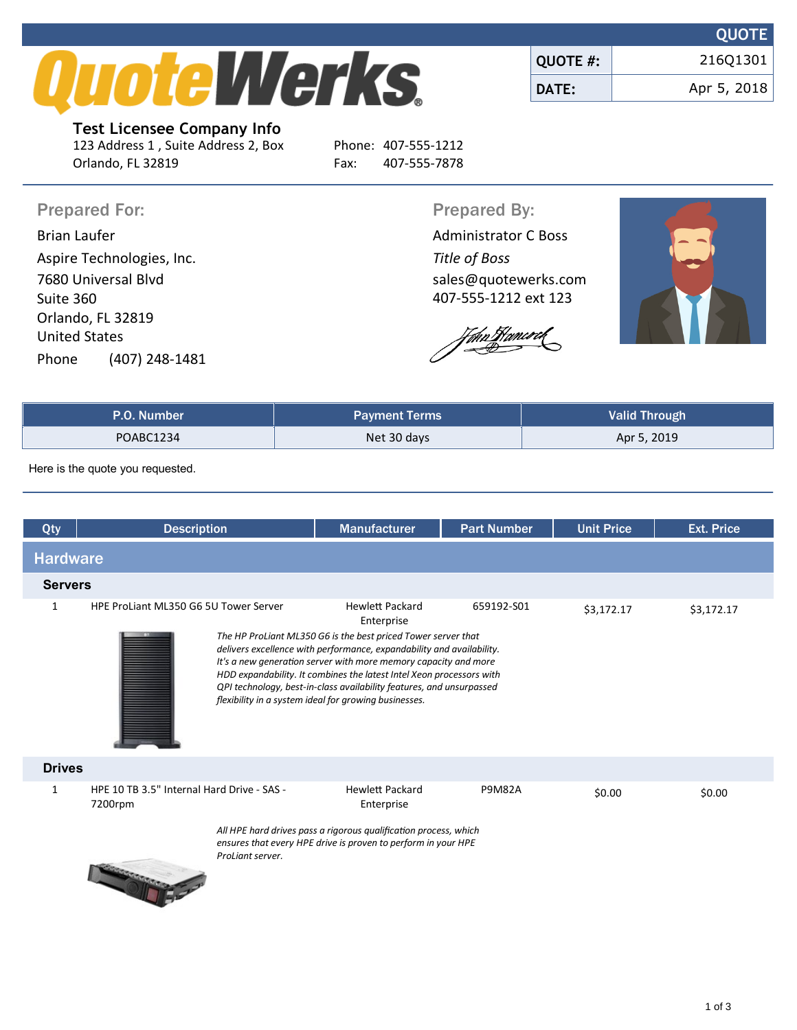

|                 | <b>VUVIL</b> |
|-----------------|--------------|
| <b>QUOTE #:</b> | 216Q1301     |
| DATE:           | Apr 5, 2018  |

**Test Licensee Company Info** 123 Address 1 , Suite Address 2, Box Phone: 407-555-1212 Orlando, FL 32819 Fax: 407-555-7878

Prepared For: Prepared By:

Brian Laufer **Administrator C Boss Administrator C Boss** Aspire Technologies, Inc. *Title of Boss* 7680 Universal Blvd Suite 360 Orlando, FL 32819 United States Phone (407) 248-1481

sales@quotewerks.com

407-555-1212 ext 123

Thn Flamcock



**QUOTE**

| P.O. Number | <b>Payment Terms</b> | <b>Valid Through</b> |
|-------------|----------------------|----------------------|
| POABC1234   | Net 30 days          | Apr 5, 2019          |

Here is the quote you requested.

| Qty             | <b>Description</b>                                                        | <b>Manufacturer</b>                                                                                                                                                                                                                                                                                                                                                                                                                                        | <b>Part Number</b> | <b>Unit Price</b> | <b>Ext. Price</b> |
|-----------------|---------------------------------------------------------------------------|------------------------------------------------------------------------------------------------------------------------------------------------------------------------------------------------------------------------------------------------------------------------------------------------------------------------------------------------------------------------------------------------------------------------------------------------------------|--------------------|-------------------|-------------------|
| <b>Hardware</b> |                                                                           |                                                                                                                                                                                                                                                                                                                                                                                                                                                            |                    |                   |                   |
| <b>Servers</b>  |                                                                           |                                                                                                                                                                                                                                                                                                                                                                                                                                                            |                    |                   |                   |
| 1               | HPE ProLiant ML350 G6 5U Tower Server                                     | <b>Hewlett Packard</b><br>Enterprise<br>The HP ProLiant ML350 G6 is the best priced Tower server that<br>delivers excellence with performance, expandability and availability.<br>It's a new generation server with more memory capacity and more<br>HDD expandability. It combines the latest Intel Xeon processors with<br>QPI technology, best-in-class availability features, and unsurpassed<br>flexibility in a system ideal for growing businesses. | 659192-S01         | \$3,172.17        | \$3,172.17        |
| <b>Drives</b>   |                                                                           |                                                                                                                                                                                                                                                                                                                                                                                                                                                            |                    |                   |                   |
| 1               | HPE 10 TB 3.5" Internal Hard Drive - SAS -<br>7200rpm<br>ProLiant server. | <b>Hewlett Packard</b><br>Enterprise<br>All HPE hard drives pass a rigorous qualification process, which<br>ensures that every HPE drive is proven to perform in your HPE                                                                                                                                                                                                                                                                                  | <b>P9M82A</b>      | \$0.00            | \$0.00            |
|                 |                                                                           |                                                                                                                                                                                                                                                                                                                                                                                                                                                            |                    |                   |                   |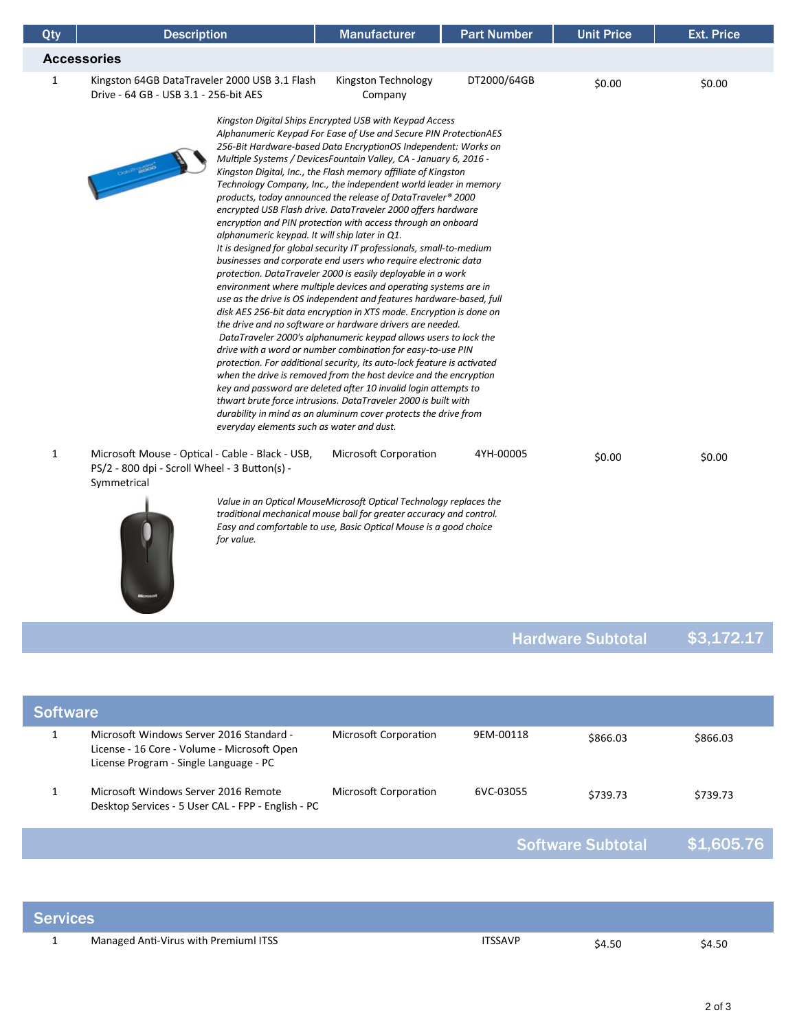| Qty          | <b>Description</b>                                                                                                                                                                                                                                                                                                                                                                                                                                                                                                                                                                                                                                                                                                                                                                                                                                                                                                                                                                                                                                                                                                                                                                                                                                                                                                                                                                                                                                                                                                                                                                                                                                                                                         | <b>Manufacturer</b>                                                                                                                                                                                            | <b>Part Number</b> | <b>Unit Price</b> | <b>Ext. Price</b> |
|--------------|------------------------------------------------------------------------------------------------------------------------------------------------------------------------------------------------------------------------------------------------------------------------------------------------------------------------------------------------------------------------------------------------------------------------------------------------------------------------------------------------------------------------------------------------------------------------------------------------------------------------------------------------------------------------------------------------------------------------------------------------------------------------------------------------------------------------------------------------------------------------------------------------------------------------------------------------------------------------------------------------------------------------------------------------------------------------------------------------------------------------------------------------------------------------------------------------------------------------------------------------------------------------------------------------------------------------------------------------------------------------------------------------------------------------------------------------------------------------------------------------------------------------------------------------------------------------------------------------------------------------------------------------------------------------------------------------------------|----------------------------------------------------------------------------------------------------------------------------------------------------------------------------------------------------------------|--------------------|-------------------|-------------------|
|              | <b>Accessories</b>                                                                                                                                                                                                                                                                                                                                                                                                                                                                                                                                                                                                                                                                                                                                                                                                                                                                                                                                                                                                                                                                                                                                                                                                                                                                                                                                                                                                                                                                                                                                                                                                                                                                                         |                                                                                                                                                                                                                |                    |                   |                   |
| 1            | Kingston 64GB DataTraveler 2000 USB 3.1 Flash<br>Drive - 64 GB - USB 3.1 - 256-bit AES                                                                                                                                                                                                                                                                                                                                                                                                                                                                                                                                                                                                                                                                                                                                                                                                                                                                                                                                                                                                                                                                                                                                                                                                                                                                                                                                                                                                                                                                                                                                                                                                                     | Kingston Technology<br>Company                                                                                                                                                                                 | DT2000/64GB        | \$0.00            | \$0.00            |
|              | Kingston Digital Ships Encrypted USB with Keypad Access<br>Alphanumeric Keypad For Ease of Use and Secure PIN ProtectionAES<br>256-Bit Hardware-based Data EncryptionOS Independent: Works on<br>Multiple Systems / DevicesFountain Valley, CA - January 6, 2016 -<br>Determined a<br>Kingston Digital, Inc., the Flash memory affiliate of Kingston<br>Technology Company, Inc., the independent world leader in memory<br>products, today announced the release of DataTraveler® 2000<br>encrypted USB Flash drive. DataTraveler 2000 offers hardware<br>encryption and PIN protection with access through an onboard<br>alphanumeric keypad. It will ship later in Q1.<br>It is designed for global security IT professionals, small-to-medium<br>businesses and corporate end users who require electronic data<br>protection. DataTraveler 2000 is easily deployable in a work<br>environment where multiple devices and operating systems are in<br>use as the drive is OS independent and features hardware-based, full<br>disk AES 256-bit data encryption in XTS mode. Encryption is done on<br>the drive and no software or hardware drivers are needed.<br>DataTraveler 2000's alphanumeric keypad allows users to lock the<br>drive with a word or number combination for easy-to-use PIN<br>protection. For additional security, its auto-lock feature is activated<br>when the drive is removed from the host device and the encryption<br>key and password are deleted after 10 invalid login attempts to<br>thwart brute force intrusions. DataTraveler 2000 is built with<br>durability in mind as an aluminum cover protects the drive from<br>everyday elements such as water and dust. |                                                                                                                                                                                                                |                    |                   |                   |
| $\mathbf{1}$ | Microsoft Mouse - Optical - Cable - Black - USB,<br>PS/2 - 800 dpi - Scroll Wheel - 3 Button(s) -<br>Symmetrical                                                                                                                                                                                                                                                                                                                                                                                                                                                                                                                                                                                                                                                                                                                                                                                                                                                                                                                                                                                                                                                                                                                                                                                                                                                                                                                                                                                                                                                                                                                                                                                           | Microsoft Corporation                                                                                                                                                                                          | 4YH-00005          | \$0.00            | \$0.00            |
|              | for value.                                                                                                                                                                                                                                                                                                                                                                                                                                                                                                                                                                                                                                                                                                                                                                                                                                                                                                                                                                                                                                                                                                                                                                                                                                                                                                                                                                                                                                                                                                                                                                                                                                                                                                 | Value in an Optical MouseMicrosoft Optical Technology replaces the<br>traditional mechanical mouse ball for greater accuracy and control.<br>Easy and comfortable to use, Basic Optical Mouse is a good choice |                    |                   |                   |

## Hardware Subtotal \$3,172.17

| <b>Software</b> |                                                                                                                                   |                       |           |                          |            |
|-----------------|-----------------------------------------------------------------------------------------------------------------------------------|-----------------------|-----------|--------------------------|------------|
|                 | Microsoft Windows Server 2016 Standard -<br>License - 16 Core - Volume - Microsoft Open<br>License Program - Single Language - PC | Microsoft Corporation | 9EM-00118 | \$866.03                 | \$866.03   |
|                 | Microsoft Windows Server 2016 Remote<br>Desktop Services - 5 User CAL - FPP - English - PC                                        | Microsoft Corporation | 6VC-03055 | \$739.73                 | \$739.73   |
|                 |                                                                                                                                   |                       |           | <b>Software Subtotal</b> | \$1,605.76 |
|                 |                                                                                                                                   |                       |           |                          |            |

| <b>Services</b> |                                       |         |        |        |
|-----------------|---------------------------------------|---------|--------|--------|
|                 | Managed Anti-Virus with Premiuml ITSS | ITSSAVP | \$4.50 | \$4.50 |